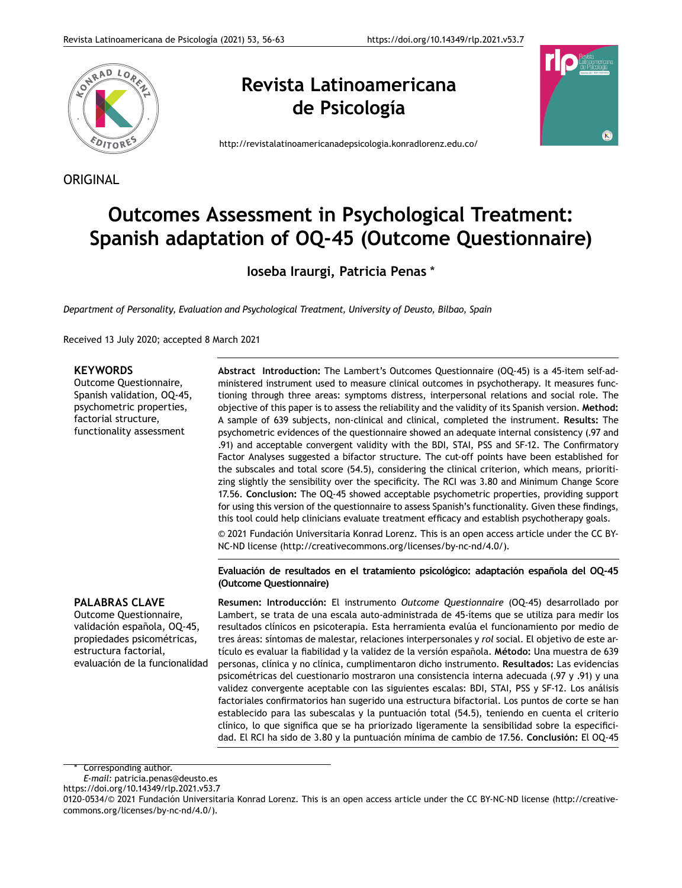

## **Revista Latinoamericana de Psicología**



<http://revistalatinoamericanadepsicologia.konradlorenz.edu.co/>

## ORIGINAL

# **Outcomes Assessment in Psychological Treatment: Spanish adaptation of OQ-45 (Outcome Questionnaire)**

**Ioseba Iraurgi, Patricia Penas** \*

*Department of Personality, Evaluation and Psychological Treatment, University of Deusto, Bilbao, Spain*

Received 13 July 2020; accepted 8 March 2021

### **KEYWORDS**

Outcome Questionnaire, Spanish validation, OQ-45, psychometric properties, factorial structure, functionality assessment

**Abstract Introduction:** The Lambert's Outcomes Questionnaire (OQ-45) is a 45-item self-administered instrument used to measure clinical outcomes in psychotherapy. It measures functioning through three areas: symptoms distress, interpersonal relations and social role. The objective of this paper is to assess the reliability and the validity of its Spanish version. **Method:** A sample of 639 subjects, non-clinical and clinical, completed the instrument. **Results:** The psychometric evidences of the questionnaire showed an adequate internal consistency (.97 and .91) and acceptable convergent validity with the BDI, STAI, PSS and SF-12. The Confirmatory Factor Analyses suggested a bifactor structure. The cut-off points have been established for the subscales and total score (54.5), considering the clinical criterion, which means, prioritizing slightly the sensibility over the specificity. The RCI was 3.80 and Minimum Change Score 17.56. **Conclusion:** The OQ-45 showed acceptable psychometric properties, providing support for using this version of the questionnaire to assess Spanish's functionality. Given these findings, this tool could help clinicians evaluate treatment efficacy and establish psychotherapy goals. © 2021 Fundación Universitaria Konrad Lorenz. This is an open access article under the CC BY-

NC-ND license [\(http://creativecommons.org/licenses/by-nc-nd/4.0/\)](http://creative%C2%ADcommons.org/licenses/by-nc-nd/4.0/).

**Evaluación de resultados en el tratamiento psicológico: adaptación española del OQ-45 (Outcome Questionnaire)**

## **PALABRAS CLAVE**

Outcome Questionnaire, validación española, OQ-45, propiedades psicométricas, estructura factorial, evaluación de la funcionalidad

**Resumen: Introducción:** El instrumento *Outcome Questionnaire* (OQ-45) desarrollado por Lambert, se trata de una escala auto-administrada de 45-ítems que se utiliza para medir los resultados clínicos en psicoterapia. Esta herramienta evalúa el funcionamiento por medio de tres áreas: síntomas de malestar, relaciones interpersonales y *rol* social. El objetivo de este artículo es evaluar la fiabilidad y la validez de la versión española. **Método:** Una muestra de 639 personas, clínica y no clínica, cumplimentaron dicho instrumento. **Resultados:** Las evidencias psicométricas del cuestionario mostraron una consistencia interna adecuada (.97 y .91) y una validez convergente aceptable con las siguientes escalas: BDI, STAI, PSS y SF-12. Los análisis factoriales confirmatorios han sugerido una estructura bifactorial. Los puntos de corte se han establecido para las subescalas y la puntuación total (54.5), teniendo en cuenta el criterio clínico, lo que significa que se ha priorizado ligeramente la sensibilidad sobre la especificidad. El RCI ha sido de 3.80 y la puntuación mínima de cambio de 17.56. **Conclusión:** El OQ-45

Corresponding author.

*E-mail:* [patricia.penas@deusto.es](mailto:patricia.penas@deusto.es)

https://doi.org/10.14349/rlp.2021.v53.7

<sup>0120-0534/© 2021</sup> Fundación Universitaria Konrad Lorenz. This is an open access article under the CC BY-NC-ND license ([http://creative](http://creativecommons.org/licenses/by-nc-nd/4.0/)[commons.org/licenses/by-nc-nd/4.0/](http://creativecommons.org/licenses/by-nc-nd/4.0/)).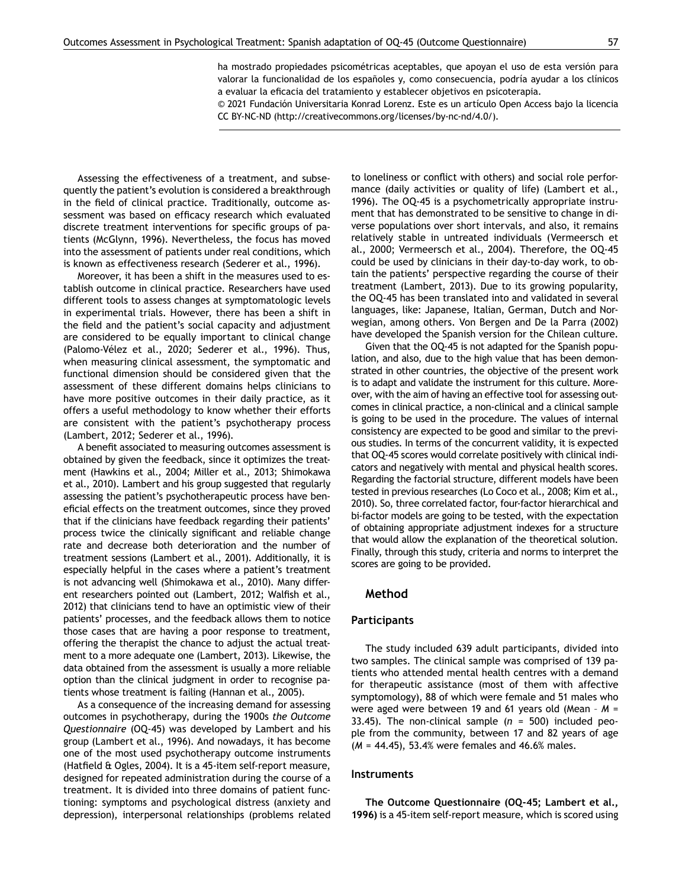ha mostrado propiedades psicométricas aceptables, que apoyan el uso de esta versión para valorar la funcionalidad de los españoles y, como consecuencia, podría ayudar a los clínicos a evaluar la eficacia del tratamiento y establecer objetivos en psicoterapia.

© 2021 Fundación Universitaria Konrad Lorenz. Este es un artículo Open Access bajo la licencia CC BY-NC-ND ([http://creativecommons.org/licenses/by-](http://creative%C2%ADcommons.org/licenses/by-nc-nd/4.0/)nc-nd/4.0/).

Assessing the effectiveness of a treatment, and subsequently the patient's evolution is considered a breakthrough in the field of clinical practice. Traditionally, outcome assessment was based on efficacy research which evaluated discrete treatment interventions for specific groups of patients (McGlynn, 1996). Nevertheless, the focus has moved into the assessment of patients under real conditions, which is known as effectiveness research (Sederer et al., 1996).

Moreover, it has been a shift in the measures used to establish outcome in clinical practice. Researchers have used different tools to assess changes at symptomatologic levels in experimental trials. However, there has been a shift in the field and the patient's social capacity and adjustment are considered to be equally important to clinical change (Palomo-Vélez et al., 2020; Sederer et al., 1996). Thus, when measuring clinical assessment, the symptomatic and functional dimension should be considered given that the assessment of these different domains helps clinicians to have more positive outcomes in their daily practice, as it offers a useful methodology to know whether their efforts are consistent with the patient's psychotherapy process (Lambert, 2012; Sederer et al., 1996).

A benefit associated to measuring outcomes assessment is obtained by given the feedback, since it optimizes the treatment (Hawkins et al., 2004; Miller et al., 2013; Shimokawa et al., 2010). Lambert and his group suggested that regularly assessing the patient's psychotherapeutic process have beneficial effects on the treatment outcomes, since they proved that if the clinicians have feedback regarding their patients' process twice the clinically significant and reliable change rate and decrease both deterioration and the number of treatment sessions (Lambert et al., 2001). Additionally, it is especially helpful in the cases where a patient's treatment is not advancing well (Shimokawa et al., 2010). Many different researchers pointed out (Lambert, 2012; Walfish et al., 2012) that clinicians tend to have an optimistic view of their patients' processes, and the feedback allows them to notice those cases that are having a poor response to treatment, offering the therapist the chance to adjust the actual treatment to a more adequate one (Lambert, 2013). Likewise, the data obtained from the assessment is usually a more reliable option than the clinical judgment in order to recognise patients whose treatment is failing (Hannan et al., 2005).

As a consequence of the increasing demand for assessing outcomes in psychotherapy, during the 1900s *the Outcome Questionnaire* (OQ-45) was developed by Lambert and his group (Lambert et al., 1996). And nowadays, it has become one of the most used psychotherapy outcome instruments (Hatfield & Ogles, 2004). It is a 45-item self-report measure, designed for repeated administration during the course of a treatment. It is divided into three domains of patient functioning: symptoms and psychological distress (anxiety and depression), interpersonal relationships (problems related to loneliness or conflict with others) and social role performance (daily activities or quality of life) (Lambert et al., 1996). The OQ-45 is a psychometrically appropriate instrument that has demonstrated to be sensitive to change in diverse populations over short intervals, and also, it remains relatively stable in untreated individuals (Vermeersch et al., 2000; Vermeersch et al., 2004). Therefore, the OQ-45 could be used by clinicians in their day-to-day work, to obtain the patients' perspective regarding the course of their treatment (Lambert, 2013). Due to its growing popularity, the OQ-45 has been translated into and validated in several languages, like: Japanese, Italian, German, Dutch and Norwegian, among others. Von Bergen and De la Parra (2002) have developed the Spanish version for the Chilean culture.

Given that the OQ-45 is not adapted for the Spanish population, and also, due to the high value that has been demonstrated in other countries, the objective of the present work is to adapt and validate the instrument for this culture. Moreover, with the aim of having an effective tool for assessing outcomes in clinical practice, a non-clinical and a clinical sample is going to be used in the procedure. The values of internal consistency are expected to be good and similar to the previous studies. In terms of the concurrent validity, it is expected that OQ-45 scores would correlate positively with clinical indicators and negatively with mental and physical health scores. Regarding the factorial structure, different models have been tested in previous researches (Lo Coco et al., 2008; Kim et al., 2010). So, three correlated factor, four-factor hierarchical and bi-factor models are going to be tested, with the expectation of obtaining appropriate adjustment indexes for a structure that would allow the explanation of the theoretical solution. Finally, through this study, criteria and norms to interpret the scores are going to be provided.

#### **Method**

#### **Participants**

The study included 639 adult participants, divided into two samples. The clinical sample was comprised of 139 patients who attended mental health centres with a demand for therapeutic assistance (most of them with affective symptomology), 88 of which were female and 51 males who were aged were between 19 and 61 years old (Mean – *M* = 33.45). The non-clinical sample (*n* = 500) included people from the community, between 17 and 82 years of age (*M* = 44.45), 53.4% were females and 46.6% males.

#### **Instruments**

**The Outcome Questionnaire (OQ-45; Lambert et al., 1996)** is a 45-item self-report measure, which is scored using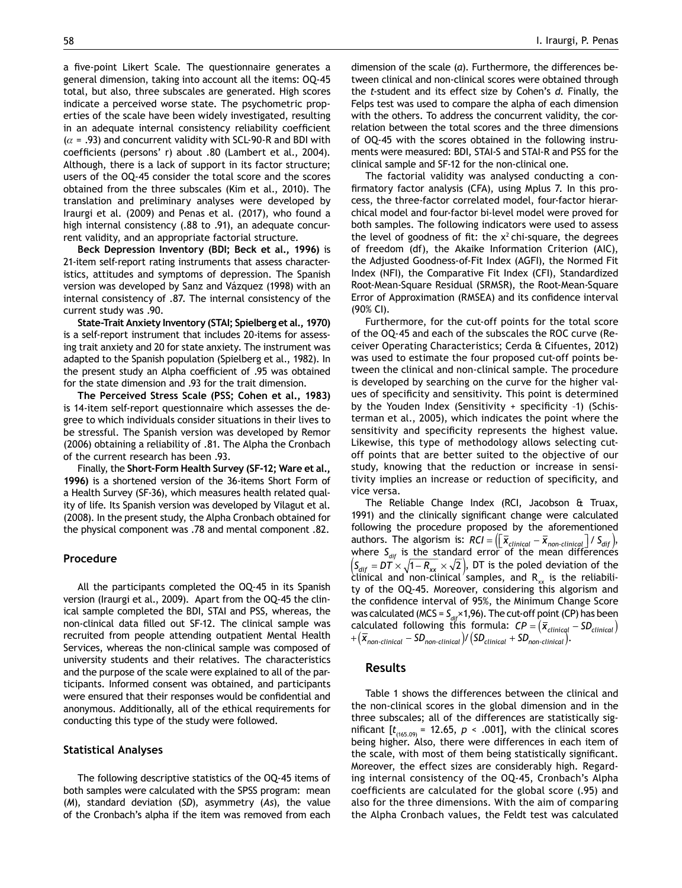a five-point Likert Scale. The questionnaire generates a general dimension, taking into account all the items: OQ-45 total, but also, three subscales are generated. High scores indicate a perceived worse state. The psychometric properties of the scale have been widely investigated, resulting in an adequate internal consistency reliability coefficient  $(\alpha = .93)$  and concurrent validity with SCL-90-R and BDI with coefficients (persons' r) about .80 (Lambert et al., 2004). Although, there is a lack of support in its factor structure; users of the OQ-45 consider the total score and the scores obtained from the three subscales (Kim et al., 2010). The translation and preliminary analyses were developed by Iraurgi et al. (2009) and Penas et al. (2017), who found a high internal consistency (.88 to .91), an adequate concurrent validity, and an appropriate factorial structure.

**Beck Depression Inventory (BDI; Beck et al., 1996)** is 21-item self-report rating instruments that assess characteristics, attitudes and symptoms of depression. The Spanish version was developed by Sanz and Vázquez (1998) with an internal consistency of .87. The internal consistency of the current study was .90.

**State-Trait Anxiety Inventory (STAI; Spielberg et al., 1970)**  is a self-report instrument that includes 20-items for assessing trait anxiety and 20 for state anxiety. The instrument was adapted to the Spanish population (Spielberg et al., 1982). In the present study an Alpha coefficient of .95 was obtained for the state dimension and .93 for the trait dimension.

**The Perceived Stress Scale (PSS; Cohen et al., 1983)** is 14-item self-report questionnaire which assesses the degree to which individuals consider situations in their lives to be stressful. The Spanish version was developed by Remor (2006) obtaining a reliability of .81. The Alpha the Cronbach of the current research has been .93.

Finally, the **Short-Form Health Survey (SF-12; Ware et al., 1996)** is a shortened version of the 36-items Short Form of a Health Survey (SF-36), which measures health related quality of life. Its Spanish version was developed by Vilagut et al. (2008). In the present study, the Alpha Cronbach obtained for the physical component was .78 and mental component .82.

#### **Procedure**

All the participants completed the OQ-45 in its Spanish version (Iraurgi et al., 2009). Apart from the OQ-45 the clinical sample completed the BDI, STAI and PSS, whereas, the non-clinical data filled out SF-12. The clinical sample was recruited from people attending outpatient Mental Health Services, whereas the non-clinical sample was composed of university students and their relatives. The characteristics and the purpose of the scale were explained to all of the participants. Informed consent was obtained, and participants were ensured that their responses would be confidential and anonymous. Additionally, all of the ethical requirements for conducting this type of the study were followed.

#### **Statistical Analyses**

The following descriptive statistics of the OQ-45 items of both samples were calculated with the SPSS program: mean (*M*), standard deviation (*SD*), asymmetry (*As*), the value of the Cronbach's alpha if the item was removed from each dimension of the scale (*α*). Furthermore, the differences between clinical and non-clinical scores were obtained through the *t*-student and its effect size by Cohen's *d*. Finally, the Felps test was used to compare the alpha of each dimension with the others. To address the concurrent validity, the correlation between the total scores and the three dimensions of OQ-45 with the scores obtained in the following instruments were measured: BDI, STAI-S and STAI-R and PSS for the clinical sample and SF-12 for the non-clinical one.

The factorial validity was analysed conducting a confirmatory factor analysis (CFA), using Mplus 7. In this process, the three-factor correlated model, four-factor hierarchical model and four-factor bi-level model were proved for both samples. The following indicators were used to assess the level of goodness of fit: the  $x^2$  chi-square, the degrees of freedom (df), the Akaike Information Criterion (AIC), the Adjusted Goodness-of-Fit Index (AGFI), the Normed Fit Index (NFI), the Comparative Fit Index (CFI), Standardized Root-Mean-Square Residual (SRMSR), the Root-Mean-Square Error of Approximation (RMSEA) and its confidence interval (90% CI).

Furthermore, for the cut-off points for the total score of the OQ-45 and each of the subscales the ROC curve (Receiver Operating Characteristics; Cerda & Cifuentes, 2012) was used to estimate the four proposed cut-off points between the clinical and non-clinical sample. The procedure is developed by searching on the curve for the higher values of specificity and sensitivity. This point is determined by the Youden Index (Sensitivity + specificity –1) (Schisterman et al., 2005), which indicates the point where the sensitivity and specificity represents the highest value. Likewise, this type of methodology allows selecting cutoff points that are better suited to the objective of our study, knowing that the reduction or increase in sensitivity implies an increase or reduction of specificity, and vice versa.

The Reliable Change Index (RCI, Jacobson & Truax, 1991) and the clinically significant change were calculated following the procedure proposed by the aforementioned authors. The algorism is:  $RCI = \left(\frac{\overline{x}}{c_{clinical}} - \overline{x}_{non-clinical}\right) / S_{dif}$ , where  $S_{\text{dif}}$  is the standard error of the mean differences  $\left(S_{\text{diff}} = D\overline{T} \times \sqrt{1 - R_{xx}} \times \sqrt{2}\right)$ , DT is the poled deviation of the clinical and non-clinical samples, and  $R_{xx}$  is the reliability of the OQ-45. Moreover, considering this algorism and the confidence interval of 95%, the Minimum Change Score was calculated (MCS =  $S_{\text{dif}} \times 1,96$ ). The cut-off point (CP) has been calculated following this formula:  $\mathcal{CP} = (\overline{x}_{clinical} - SD_{clinical})$  $+$   $(\overline{x}_{non-clinical} - SD_{non-clinical}) / (SD_{clinical} + SD_{non-clinical}).$ 

#### **Results**

Table 1 shows the differences between the clinical and the non-clinical scores in the global dimension and in the three subscales; all of the differences are statistically significant  $[t_{(165.09)} = 12.65, p \times .001]$ , with the clinical scores being higher. Also, there were differences in each item of the scale, with most of them being statistically significant. Moreover, the effect sizes are considerably high. Regarding internal consistency of the OQ-45, Cronbach's Alpha coefficients are calculated for the global score (.95) and also for the three dimensions. With the aim of comparing the Alpha Cronbach values, the Feldt test was calculated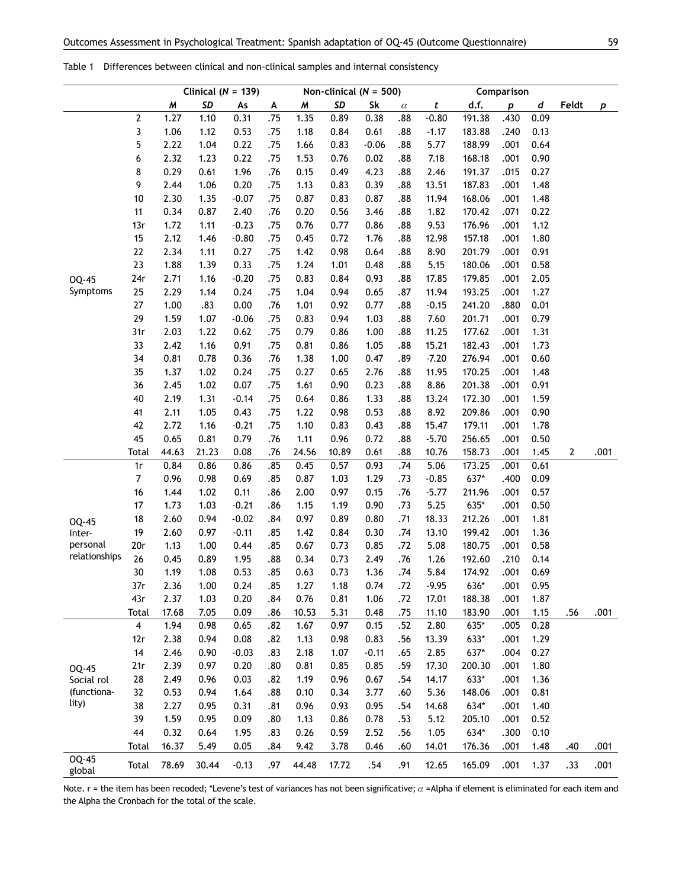|                           |                         |       | Clinical ( $N = 139$ ) |         |     | Non-clinical ( $N = 500$ ) |       |         | Comparison |         |        |                  |      |       |      |
|---------------------------|-------------------------|-------|------------------------|---------|-----|----------------------------|-------|---------|------------|---------|--------|------------------|------|-------|------|
|                           |                         | M     | SD                     | As      | A   | M                          | SD    | Sk      | $\alpha$   | t       | d.f.   | $\boldsymbol{p}$ | d    | Feldt | p    |
|                           | 2                       | 1.27  | 1.10                   | 0.31    | .75 | 1.35                       | 0.89  | 0.38    | .88        | $-0.80$ | 191.38 | .430             | 0.09 |       |      |
|                           | 3                       | 1.06  | 1.12                   | 0.53    | .75 | 1.18                       | 0.84  | 0.61    | .88        | $-1.17$ | 183.88 | .240             | 0.13 |       |      |
|                           | 5                       | 2.22  | 1.04                   | 0.22    | .75 | 1.66                       | 0.83  | $-0.06$ | .88        | 5.77    | 188.99 | .001             | 0.64 |       |      |
|                           | 6                       | 2.32  | 1.23                   | 0.22    | .75 | 1.53                       | 0.76  | 0.02    | .88        | 7.18    | 168.18 | .001             | 0.90 |       |      |
|                           | 8                       | 0.29  | 0.61                   | 1.96    | .76 | 0.15                       | 0.49  | 4.23    | .88        | 2.46    | 191.37 | .015             | 0.27 |       |      |
|                           | 9                       | 2.44  | 1.06                   | 0.20    | .75 | 1.13                       | 0.83  | 0.39    | .88        | 13.51   | 187.83 | .001             | 1.48 |       |      |
|                           | $10$                    | 2.30  | 1.35                   | $-0.07$ | .75 | 0.87                       | 0.83  | 0.87    | .88        | 11.94   | 168.06 | .001             | 1.48 |       |      |
|                           | 11                      | 0.34  | 0.87                   | 2.40    | .76 | 0.20                       | 0.56  | 3.46    | .88        | 1.82    | 170.42 | .071             | 0.22 |       |      |
|                           | 13r                     | 1.72  | 1.11                   | $-0.23$ | .75 | 0.76                       | 0.77  | 0.86    | .88        | 9.53    | 176.96 | .001             | 1.12 |       |      |
|                           | 15                      | 2.12  | 1.46                   | $-0.80$ | .75 | 0.45                       | 0.72  | 1.76    | .88        | 12.98   | 157.18 | .001             | 1.80 |       |      |
|                           | 22                      | 2.34  | 1.11                   | 0.27    | .75 | 1.42                       | 0.98  | 0.64    | .88        | 8.90    | 201.79 | .001             | 0.91 |       |      |
|                           | 23                      | 1.88  | 1.39                   | 0.33    | .75 | 1.24                       | 1.01  | 0.48    | .88        | 5.15    | 180.06 | .001             | 0.58 |       |      |
| OQ-45                     | 24r                     | 2.71  | 1.16                   | $-0.20$ | .75 | 0.83                       | 0.84  | 0.93    | .88        | 17.85   | 179.85 | .001             | 2.05 |       |      |
| Symptoms                  | 25                      | 2.29  | 1.14                   | 0.24    | .75 | 1.04                       | 0.94  | 0.65    | .87        | 11.94   | 193.25 | .001             | 1.27 |       |      |
|                           | 27                      | 1.00  | .83                    | 0.00    | .76 | 1.01                       | 0.92  | 0.77    | .88        | $-0.15$ | 241.20 | .880             | 0.01 |       |      |
|                           | 29                      | 1.59  | 1.07                   | $-0.06$ | .75 | 0.83                       | 0.94  | 1.03    | .88        | 7.60    | 201.71 | .001             | 0.79 |       |      |
|                           | 31r                     | 2.03  | 1.22                   | 0.62    | .75 | 0.79                       | 0.86  | 1.00    | .88        | 11.25   | 177.62 | .001             | 1.31 |       |      |
|                           | 33                      | 2.42  | 1.16                   | 0.91    | .75 | 0.81                       | 0.86  | 1.05    | .88        | 15.21   | 182.43 | .001             | 1.73 |       |      |
|                           | 34                      | 0.81  | 0.78                   | 0.36    | .76 | 1.38                       | 1.00  | 0.47    | .89        | $-7.20$ | 276.94 | .001             | 0.60 |       |      |
|                           | 35                      | 1.37  | 1.02                   | 0.24    | .75 | 0.27                       | 0.65  | 2.76    | .88        | 11.95   | 170.25 | .001             | 1.48 |       |      |
|                           | 36                      | 2.45  | 1.02                   | 0.07    | .75 | 1.61                       | 0.90  | 0.23    | .88        | 8.86    | 201.38 | .001             | 0.91 |       |      |
|                           | 40                      | 2.19  | 1.31                   | $-0.14$ | .75 | 0.64                       | 0.86  | 1.33    | .88        | 13.24   | 172.30 | .001             | 1.59 |       |      |
|                           | 41                      | 2.11  | 1.05                   | 0.43    | .75 | 1.22                       | 0.98  | 0.53    | .88        | 8.92    | 209.86 | .001             | 0.90 |       |      |
|                           | 42                      | 2.72  | 1.16                   | $-0.21$ | .75 | 1.10                       | 0.83  | 0.43    | .88        | 15.47   | 179.11 | .001             | 1.78 |       |      |
|                           | 45                      | 0.65  | 0.81                   | 0.79    | .76 | 1.11                       | 0.96  | 0.72    | .88        | $-5.70$ | 256.65 | .001             | 0.50 |       |      |
|                           | <b>Total</b>            | 44.63 | 21.23                  | 0.08    | .76 | 24.56                      | 10.89 | 0.61    | .88        | 10.76   | 158.73 | .001             | 1.45 | 2     | .001 |
|                           | 1r                      | 0.84  | 0.86                   | 0.86    | .85 | 0.45                       | 0.57  | 0.93    | .74        | 5.06    | 173.25 | .001             | 0.61 |       |      |
|                           | 7                       | 0.96  | 0.98                   | 0.69    | .85 | 0.87                       | 1.03  | 1.29    | .73        | $-0.85$ | 637*   | .400             | 0.09 |       |      |
|                           | 16                      | 1.44  | 1.02                   | 0.11    | .86 | 2.00                       | 0.97  | 0.15    | .76        | $-5.77$ | 211.96 | .001             | 0.57 |       |      |
|                           | 17                      | 1.73  | 1.03                   | $-0.21$ | .86 | 1.15                       | 1.19  | 0.90    | .73        | 5.25    | 635*   | .001             | 0.50 |       |      |
|                           | 18                      | 2.60  | 0.94                   | $-0.02$ | .84 | 0.97                       | 0.89  | 0.80    | .71        | 18.33   | 212.26 | .001             | 1.81 |       |      |
| OQ-45<br>Inter-           | 19                      | 2.60  | 0.97                   | $-0.11$ | .85 | 1.42                       | 0.84  | 0.30    | .74        | 13.10   | 199.42 | .001             | 1.36 |       |      |
| personal                  | 20r                     | 1.13  | 1.00                   | 0.44    | .85 | 0.67                       | 0.73  | 0.85    | .72        | 5.08    | 180.75 | .001             | 0.58 |       |      |
| relationships             | 26                      | 0.45  | 0.89                   | 1.95    | .88 | 0.34                       | 0.73  | 2.49    | .76        | 1.26    | 192.60 | .210             | 0.14 |       |      |
|                           | 30                      | 1.19  | 1.08                   | 0.53    | .85 | 0.63                       | 0.73  | 1.36    | .74        | 5.84    | 174.92 | .001             | 0.69 |       |      |
|                           | 37r                     | 2.36  | 1.00                   | 0.24    | .85 | 1.27                       | 1.18  | 0.74    | .72        | $-9.95$ | 636*   | .001             | 0.95 |       |      |
|                           | 43r                     | 2.37  | 1.03                   | 0.20    | .84 | 0.76                       | 0.81  | 1.06    | .72        | 17.01   | 188.38 | .001             | 1.87 |       |      |
|                           | <b>Total</b>            | 17.68 | 7.05                   | 0.09    | .86 | 10.53                      | 5.31  | 0.48    | .75        | 11.10   | 183.90 | .001             | 1.15 | .56   | .001 |
|                           | $\overline{\mathbf{4}}$ | 1.94  | 0.98                   | 0.65    | .82 | 1.67                       | 0.97  | 0.15    | .52        | 2.80    | 635*   | .005             | 0.28 |       |      |
|                           | 12r                     | 2.38  | 0.94                   | 0.08    | .82 | 1.13                       | 0.98  | 0.83    | .56        | 13.39   | 633*   | .001             | 1.29 |       |      |
|                           | 14                      | 2.46  | 0.90                   | $-0.03$ | .83 | 2.18                       | 1.07  | $-0.11$ | .65        | 2.85    | 637*   | .004             | 0.27 |       |      |
|                           | 21r                     | 2.39  | 0.97                   | 0.20    | .80 | 0.81                       | 0.85  | 0.85    | .59        | 17.30   | 200.30 | .001             | 1.80 |       |      |
| OQ-45                     | 28                      | 2.49  | 0.96                   | 0.03    | .82 | 1.19                       | 0.96  | 0.67    | .54        | 14.17   | 633*   | .001             | 1.36 |       |      |
| Social rol<br>(functiona- | 32                      | 0.53  | 0.94                   | 1.64    | .88 | 0.10                       | 0.34  | 3.77    | .60        | 5.36    | 148.06 | .001             | 0.81 |       |      |
| lity)                     | 38                      | 2.27  | 0.95                   | 0.31    | .81 | 0.96                       | 0.93  | 0.95    | .54        | 14.68   | 634*   | .001             | 1.40 |       |      |
|                           | 39                      | 1.59  | 0.95                   | 0.09    | .80 | 1.13                       | 0.86  | 0.78    | .53        | 5.12    | 205.10 | .001             | 0.52 |       |      |
|                           | 44                      | 0.32  | 0.64                   | 1.95    | .83 | 0.26                       | 0.59  | 2.52    | .56        | 1.05    | 634*   | .300             | 0.10 |       |      |
|                           | <b>Total</b>            | 16.37 | 5.49                   | 0.05    | .84 | 9.42                       | 3.78  | 0.46    | .60        | 14.01   | 176.36 | .001             | 1.48 | .40   | .001 |
| OQ-45<br>global           | Total                   | 78.69 | 30.44                  | $-0.13$ | .97 | 44.48                      | 17.72 | .54     | .91        | 12.65   | 165.09 | .001             | 1.37 | .33   | .001 |

Table 1 Differences between clinical and non-clinical samples and internal consistency

Note. r = the item has been recoded; \*Levene's test of variances has not been significative;  $\alpha$  =Alpha if element is eliminated for each item and the Alpha the Cronbach for the total of the scale.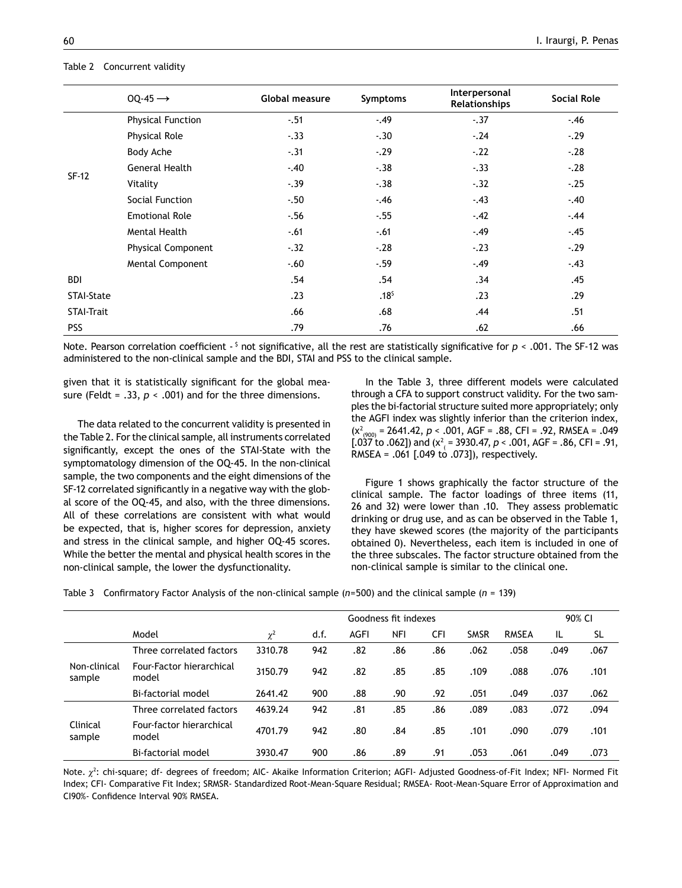#### Table 2 Concurrent validity

|                   | $OO-45 \rightarrow$       | Global measure | <b>Symptoms</b>  | Interpersonal<br>Relationships | <b>Social Role</b> |
|-------------------|---------------------------|----------------|------------------|--------------------------------|--------------------|
|                   | <b>Physical Function</b>  | $-.51$         | $-.49$           | $-.37$                         | $-.46$             |
|                   | <b>Physical Role</b>      | $-.33$         | $-.30$           | $-.24$                         | $-.29$             |
|                   | Body Ache                 | $-.31$         | $-.29$           | $-.22$                         | $-.28$             |
| $SF-12$           | <b>General Health</b>     | $-.40$         | $-.38$           | $-.33$                         | $-.28$             |
|                   | Vitality                  | $-.39$         | $-.38$           | $-.32$                         | $-.25$             |
|                   | Social Function           | $-.50$         | $-.46$           | $-.43$                         | $-.40$             |
|                   | <b>Emotional Role</b>     | $-.56$         | $-.55$           | $-.42$                         | $-.44$             |
|                   | Mental Health             | $-.61$         | $-.61$           | $-.49$                         | $-.45$             |
|                   | <b>Physical Component</b> | $-.32$         | $-.28$           | $-.23$                         | $-.29$             |
|                   | Mental Component          | $-60$          | $-59$            | $-.49$                         | $-.43$             |
| <b>BDI</b>        |                           | .54            | .54              | .34                            | .45                |
| STAI-State        |                           | .23            | .18 <sup>5</sup> | .23                            | .29                |
| <b>STAI-Trait</b> |                           | .66            | .68              | .44                            | .51                |
| <b>PSS</b>        |                           | .79            | .76              | .62                            | .66                |

Note. Pearson correlation coefficient - \$ not significative, all the rest are statistically significative for *p* < .001. The SF-12 was administered to the non-clinical sample and the BDI, STAI and PSS to the clinical sample.

given that it is statistically significant for the global measure (Feldt = .33, *p <* .001) and for the three dimensions.

The data related to the concurrent validity is presented in the Table 2. For the clinical sample, all instruments correlated significantly, except the ones of the STAI-State with the symptomatology dimension of the OQ-45. In the non-clinical sample, the two components and the eight dimensions of the SF-12 correlated significantly in a negative way with the global score of the OQ-45, and also, with the three dimensions. All of these correlations are consistent with what would be expected, that is, higher scores for depression, anxiety and stress in the clinical sample, and higher OQ-45 scores. While the better the mental and physical health scores in the non-clinical sample, the lower the dysfunctionality.

In the Table 3, three different models were calculated through a CFA to support construct validity. For the two samples the bi-factorial structure suited more appropriately; only the AGFI index was slightly inferior than the criterion index, (χ<sup>2</sup> (900) = 2641.42, *p <* .001, AGF = .88, CFI = .92, RMSEA = .049 [.037 to .062]) and (χ<sup>2</sup> ( = 3930.47, *p <* .001, AGF = .86, CFI = .91, RMSEA = .061 [.049 to .073]), respectively.

Figure 1 shows graphically the factor structure of the clinical sample. The factor loadings of three items (11, 26 and 32) were lower than .10. They assess problematic drinking or drug use, and as can be observed in the Table 1, they have skewed scores (the majority of the participants obtained 0). Nevertheless, each item is included in one of the three subscales. The factor structure obtained from the non-clinical sample is similar to the clinical one.

Table 3 Confirmatory Factor Analysis of the non-clinical sample (*n*=500) and the clinical sample (*n* = 139)

|                        | Goodness fit indexes              |          |      |      |     |     |             | 90% CI       |      |           |
|------------------------|-----------------------------------|----------|------|------|-----|-----|-------------|--------------|------|-----------|
|                        | Model                             | $\chi^2$ | d.f. | AGFI | NFI | CFI | <b>SMSR</b> | <b>RMSEA</b> | IL   | <b>SL</b> |
|                        | Three correlated factors          | 3310.78  | 942  | .82  | .86 | .86 | .062        | .058         | .049 | .067      |
| Non-clinical<br>sample | Four-Factor hierarchical<br>model | 3150.79  | 942  | .82  | .85 | .85 | .109        | .088         | .076 | .101      |
|                        | Bi-factorial model                | 2641.42  | 900  | .88  | .90 | .92 | .051        | .049         | .037 | .062      |
|                        | Three correlated factors          | 4639.24  | 942  | .81  | .85 | .86 | .089        | .083         | .072 | .094      |
| Clinical<br>sample     | Four-factor hierarchical<br>model | 4701.79  | 942  | .80  | .84 | .85 | .101        | .090         | .079 | .101      |
|                        | Bi-factorial model                | 3930.47  | 900  | .86  | .89 | .91 | .053        | .061         | .049 | .073      |

Note.  $\chi^2$ : chi-square; df- degrees of freedom; AIC- Akaike Information Criterion; AGFI- Adjusted Goodness-of-Fit Index; NFI- Normed Fit Index; CFI- Comparative Fit Index; SRMSR- Standardized Root-Mean-Square Residual; RMSEA- Root-Mean-Square Error of Approximation and CI90%- Confidence Interval 90% RMSEA.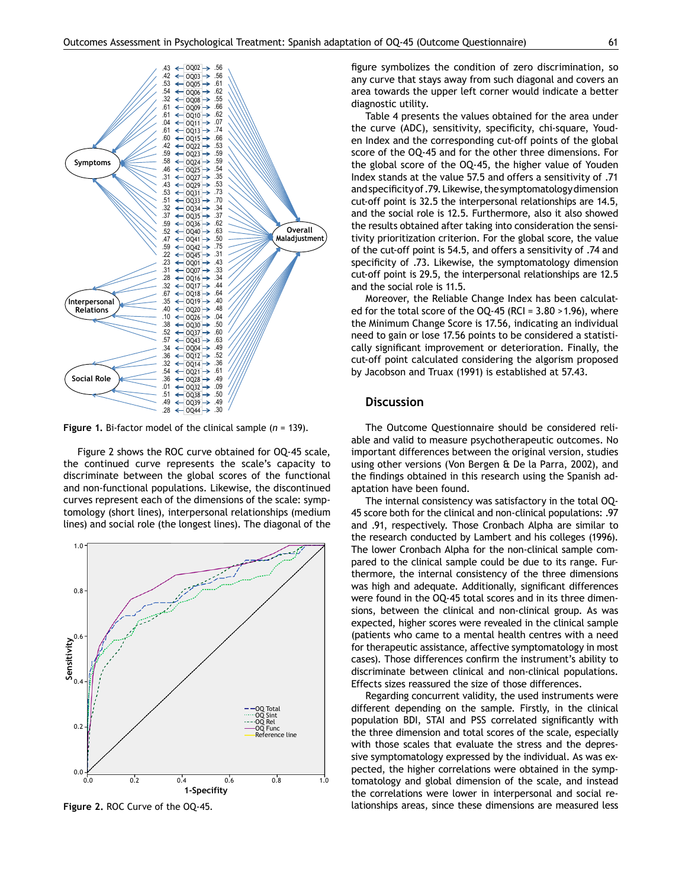

**Figure 1.** Bi-factor model of the clinical sample (*n* = 139).

Figure 2 shows the ROC curve obtained for OQ-45 scale, the continued curve represents the scale's capacity to discriminate between the global scores of the functional and non-functional populations. Likewise, the discontinued curves represent each of the dimensions of the scale: symptomology (short lines), interpersonal relationships (medium lines) and social role (the longest lines). The diagonal of the



**Figure 2.** ROC Curve of the OQ-45.

figure symbolizes the condition of zero discrimination, so any curve that stays away from such diagonal and covers an area towards the upper left corner would indicate a better diagnostic utility.

Table 4 presents the values obtained for the area under the curve (ADC), sensitivity, specificity, chi-square, Youden Index and the corresponding cut-off points of the global score of the OQ-45 and for the other three dimensions. For the global score of the OQ-45, the higher value of Youden Index stands at the value 57.5 and offers a sensitivity of .71 and specificity of .79. Likewise, the symptomatology dimension cut-off point is 32.5 the interpersonal relationships are 14.5, and the social role is 12.5. Furthermore, also it also showed the results obtained after taking into consideration the sensitivity prioritization criterion. For the global score, the value of the cut-off point is 54.5, and offers a sensitivity of .74 and specificity of .73. Likewise, the symptomatology dimension cut-off point is 29.5, the interpersonal relationships are 12.5 and the social role is 11.5.

Moreover, the Reliable Change Index has been calculated for the total score of the  $OQ-45$  (RCI =  $3.80 > 1.96$ ), where the Minimum Change Score is 17.56, indicating an individual need to gain or lose 17.56 points to be considered a statistically significant improvement or deterioration. Finally, the cut-off point calculated considering the algorism proposed by Jacobson and Truax (1991) is established at 57.43.

#### **Discussion**

The Outcome Questionnaire should be considered reliable and valid to measure psychotherapeutic outcomes. No important differences between the original version, studies using other versions (Von Bergen & De la Parra, 2002), and the findings obtained in this research using the Spanish adaptation have been found.

The internal consistency was satisfactory in the total OQ-45 score both for the clinical and non-clinical populations: .97 and .91, respectively. Those Cronbach Alpha are similar to the research conducted by Lambert and his colleges (1996). The lower Cronbach Alpha for the non-clinical sample compared to the clinical sample could be due to its range. Furthermore, the internal consistency of the three dimensions was high and adequate. Additionally, significant differences were found in the OQ-45 total scores and in its three dimensions, between the clinical and non-clinical group. As was expected, higher scores were revealed in the clinical sample (patients who came to a mental health centres with a need for therapeutic assistance, affective symptomatology in most cases). Those differences confirm the instrument's ability to discriminate between clinical and non-clinical populations. Effects sizes reassured the size of those differences.

Regarding concurrent validity, the used instruments were different depending on the sample. Firstly, in the clinical population BDI, STAI and PSS correlated significantly with the three dimension and total scores of the scale, especially with those scales that evaluate the stress and the depressive symptomatology expressed by the individual. As was expected, the higher correlations were obtained in the symptomatology and global dimension of the scale, and instead the correlations were lower in interpersonal and social relationships areas, since these dimensions are measured less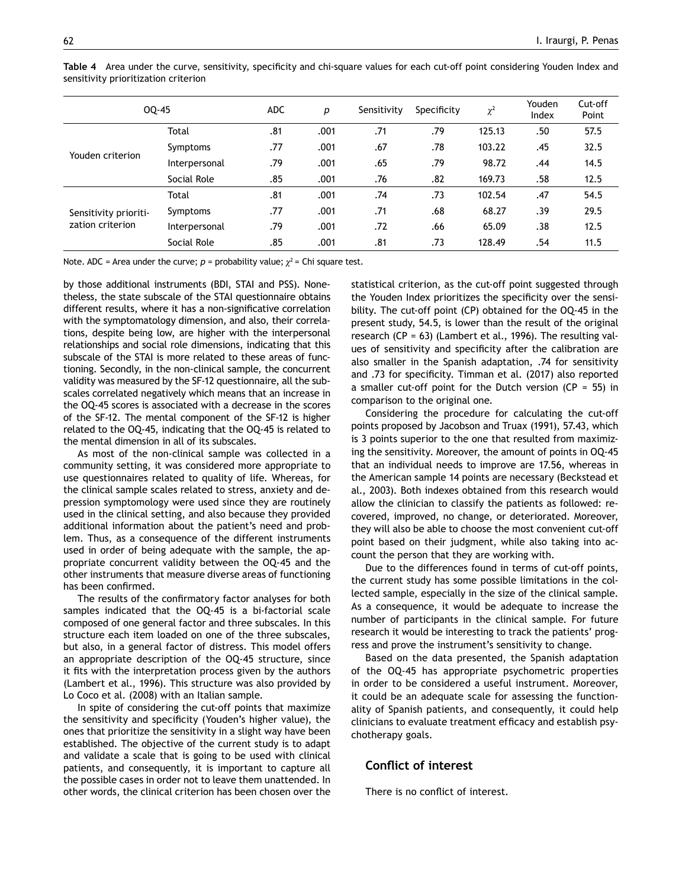| OQ-45                 | <b>ADC</b>    | p   | Sensitivity | Specificity | $\chi^2$ | Youden<br>Index | Cut-off<br>Point |      |
|-----------------------|---------------|-----|-------------|-------------|----------|-----------------|------------------|------|
|                       | <b>Total</b>  | .81 | .001        | .71         | .79      | 125.13          | .50              | 57.5 |
| Youden criterion      | Symptoms      | .77 | .001        | .67         | .78      | 103.22          | .45              | 32.5 |
|                       | Interpersonal | .79 | .001        | .65         | .79      | 98.72           | .44              | 14.5 |
|                       | Social Role   | .85 | .001        | .76         | .82      | 169.73          | .58              | 12.5 |
|                       | Total         | .81 | .001        | .74         | .73      | 102.54          | .47              | 54.5 |
| Sensitivity prioriti- | Symptoms      | .77 | .001        | .71         | .68      | 68.27           | .39              | 29.5 |
| zation criterion      | Interpersonal | .79 | .001        | .72         | .66      | 65.09           | .38              | 12.5 |
|                       | Social Role   | .85 | .001        | .81         | .73      | 128.49          | .54              | 11.5 |

**Table 4** Area under the curve, sensitivity, specificity and chi-square values for each cut-off point considering Youden Index and sensitivity prioritization criterion

Note. ADC = Area under the curve;  $p =$  probability value;  $\chi^2 =$  Chi square test.

by those additional instruments (BDI, STAI and PSS). Nonetheless, the state subscale of the STAI questionnaire obtains different results, where it has a non-significative correlation with the symptomatology dimension, and also, their correlations, despite being low, are higher with the interpersonal relationships and social role dimensions, indicating that this subscale of the STAI is more related to these areas of functioning. Secondly, in the non-clinical sample, the concurrent validity was measured by the SF-12 questionnaire, all the subscales correlated negatively which means that an increase in the OQ-45 scores is associated with a decrease in the scores of the SF-12. The mental component of the SF-12 is higher related to the OQ-45, indicating that the OQ-45 is related to the mental dimension in all of its subscales.

As most of the non-clinical sample was collected in a community setting, it was considered more appropriate to use questionnaires related to quality of life. Whereas, for the clinical sample scales related to stress, anxiety and depression symptomology were used since they are routinely used in the clinical setting, and also because they provided additional information about the patient's need and problem. Thus, as a consequence of the different instruments used in order of being adequate with the sample, the appropriate concurrent validity between the OQ-45 and the other instruments that measure diverse areas of functioning has been confirmed.

The results of the confirmatory factor analyses for both samples indicated that the OQ-45 is a bi-factorial scale composed of one general factor and three subscales. In this structure each item loaded on one of the three subscales, but also, in a general factor of distress. This model offers an appropriate description of the OQ-45 structure, since it fits with the interpretation process given by the authors (Lambert et al., 1996). This structure was also provided by Lo Coco et al. (2008) with an Italian sample.

In spite of considering the cut-off points that maximize the sensitivity and specificity (Youden's higher value), the ones that prioritize the sensitivity in a slight way have been established. The objective of the current study is to adapt and validate a scale that is going to be used with clinical patients, and consequently, it is important to capture all the possible cases in order not to leave them unattended. In other words, the clinical criterion has been chosen over the statistical criterion, as the cut-off point suggested through the Youden Index prioritizes the specificity over the sensibility. The cut-off point (CP) obtained for the OQ-45 in the present study, 54.5, is lower than the result of the original research (CP = 63) (Lambert et al., 1996). The resulting values of sensitivity and specificity after the calibration are also smaller in the Spanish adaptation, .74 for sensitivity and .73 for specificity. Timman et al. (2017) also reported a smaller cut-off point for the Dutch version ( $CP = 55$ ) in comparison to the original one.

Considering the procedure for calculating the cut-off points proposed by Jacobson and Truax (1991), 57.43, which is 3 points superior to the one that resulted from maximizing the sensitivity. Moreover, the amount of points in OQ-45 that an individual needs to improve are 17.56, whereas in the American sample 14 points are necessary (Beckstead et al., 2003). Both indexes obtained from this research would allow the clinician to classify the patients as followed: recovered, improved, no change, or deteriorated. Moreover, they will also be able to choose the most convenient cut-off point based on their judgment, while also taking into account the person that they are working with.

Due to the differences found in terms of cut-off points, the current study has some possible limitations in the collected sample, especially in the size of the clinical sample. As a consequence, it would be adequate to increase the number of participants in the clinical sample. For future research it would be interesting to track the patients' progress and prove the instrument's sensitivity to change.

Based on the data presented, the Spanish adaptation of the OQ-45 has appropriate psychometric properties in order to be considered a useful instrument. Moreover, it could be an adequate scale for assessing the functionality of Spanish patients, and consequently, it could help clinicians to evaluate treatment efficacy and establish psychotherapy goals.

## **Conflict of interest**

There is no conflict of interest.